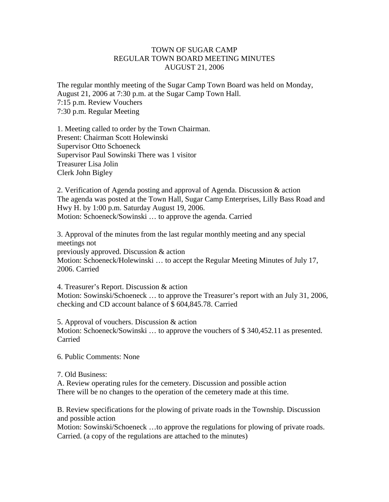## TOWN OF SUGAR CAMP REGULAR TOWN BOARD MEETING MINUTES AUGUST 21, 2006

The regular monthly meeting of the Sugar Camp Town Board was held on Monday, August 21, 2006 at 7:30 p.m. at the Sugar Camp Town Hall. 7:15 p.m. Review Vouchers 7:30 p.m. Regular Meeting

1. Meeting called to order by the Town Chairman. Present: Chairman Scott Holewinski Supervisor Otto Schoeneck Supervisor Paul Sowinski There was 1 visitor Treasurer Lisa Jolin Clerk John Bigley

2. Verification of Agenda posting and approval of Agenda. Discussion & action The agenda was posted at the Town Hall, Sugar Camp Enterprises, Lilly Bass Road and Hwy H. by 1:00 p.m. Saturday August 19, 2006. Motion: Schoeneck/Sowinski … to approve the agenda. Carried

3. Approval of the minutes from the last regular monthly meeting and any special meetings not previously approved. Discussion & action Motion: Schoeneck/Holewinski … to accept the Regular Meeting Minutes of July 17, 2006. Carried

4. Treasurer's Report. Discussion & action Motion: Sowinski/Schoeneck … to approve the Treasurer's report with an July 31, 2006, checking and CD account balance of \$ 604,845.78. Carried

5. Approval of vouchers. Discussion & action Motion: Schoeneck/Sowinski … to approve the vouchers of \$ 340,452.11 as presented. Carried

6. Public Comments: None

7. Old Business:

A. Review operating rules for the cemetery. Discussion and possible action There will be no changes to the operation of the cemetery made at this time.

B. Review specifications for the plowing of private roads in the Township. Discussion and possible action

Motion: Sowinski/Schoeneck …to approve the regulations for plowing of private roads. Carried. (a copy of the regulations are attached to the minutes)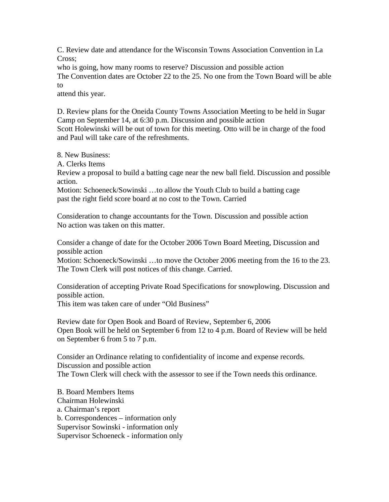C. Review date and attendance for the Wisconsin Towns Association Convention in La Cross;

who is going, how many rooms to reserve? Discussion and possible action

The Convention dates are October 22 to the 25. No one from the Town Board will be able to

attend this year.

D. Review plans for the Oneida County Towns Association Meeting to be held in Sugar Camp on September 14, at 6:30 p.m. Discussion and possible action Scott Holewinski will be out of town for this meeting. Otto will be in charge of the food and Paul will take care of the refreshments.

8. New Business:

A. Clerks Items

Review a proposal to build a batting cage near the new ball field. Discussion and possible action.

Motion: Schoeneck/Sowinski …to allow the Youth Club to build a batting cage past the right field score board at no cost to the Town. Carried

Consideration to change accountants for the Town. Discussion and possible action No action was taken on this matter.

Consider a change of date for the October 2006 Town Board Meeting, Discussion and possible action

Motion: Schoeneck/Sowinski …to move the October 2006 meeting from the 16 to the 23. The Town Clerk will post notices of this change. Carried.

Consideration of accepting Private Road Specifications for snowplowing. Discussion and possible action.

This item was taken care of under "Old Business"

Review date for Open Book and Board of Review, September 6, 2006 Open Book will be held on September 6 from 12 to 4 p.m. Board of Review will be held on September 6 from 5 to 7 p.m.

Consider an Ordinance relating to confidentiality of income and expense records. Discussion and possible action The Town Clerk will check with the assessor to see if the Town needs this ordinance.

B. Board Members Items Chairman Holewinski a. Chairman's report b. Correspondences – information only Supervisor Sowinski - information only Supervisor Schoeneck - information only